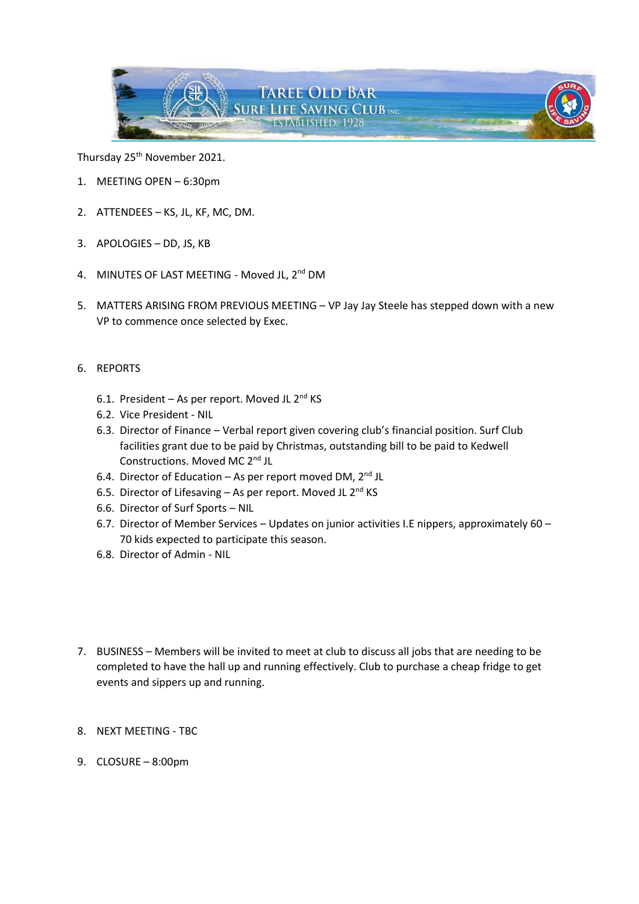

Thursday 25<sup>th</sup> November 2021.

- 1. MEETING OPEN 6:30pm
- 2. ATTENDEES KS, JL, KF, MC, DM.
- 3. APOLOGIES DD, JS, KB
- 4. MINUTES OF LAST MEETING Moved JL, 2<sup>nd</sup> DM
- 5. MATTERS ARISING FROM PREVIOUS MEETING VP Jay Jay Steele has stepped down with a new VP to commence once selected by Exec.
- 6. REPORTS
	- 6.1. President As per report. Moved JL  $2^{nd}$  KS
	- 6.2. Vice President NIL
	- 6.3. Director of Finance Verbal report given covering club's financial position. Surf Club facilities grant due to be paid by Christmas, outstanding bill to be paid to Kedwell Constructions. Moved MC 2<sup>nd</sup> JL
	- 6.4. Director of Education As per report moved DM,  $2^{nd}$  JL
	- 6.5. Director of Lifesaving As per report. Moved JL  $2^{nd}$  KS
	- 6.6. Director of Surf Sports NIL
	- 6.7. Director of Member Services Updates on junior activities I.E nippers, approximately 60 70 kids expected to participate this season.
	- 6.8. Director of Admin NIL
- 7. BUSINESS Members will be invited to meet at club to discuss all jobs that are needing to be completed to have the hall up and running effectively. Club to purchase a cheap fridge to get events and sippers up and running.
- 8. NEXT MEETING TBC
- 9. CLOSURE 8:00pm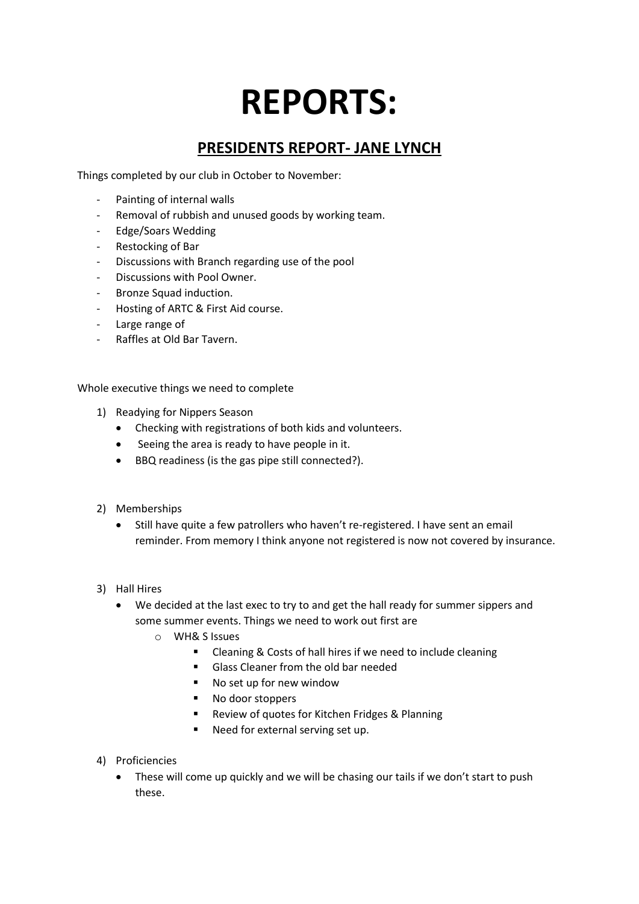# **REPORTS:**

# **PRESIDENTS REPORT- JANE LYNCH**

Things completed by our club in October to November:

- Painting of internal walls
- Removal of rubbish and unused goods by working team.
- Edge/Soars Wedding
- Restocking of Bar
- Discussions with Branch regarding use of the pool
- Discussions with Pool Owner.
- Bronze Squad induction.
- Hosting of ARTC & First Aid course.
- Large range of
- Raffles at Old Bar Tavern.

Whole executive things we need to complete

- 1) Readying for Nippers Season
	- Checking with registrations of both kids and volunteers.
	- Seeing the area is ready to have people in it.
	- BBQ readiness (is the gas pipe still connected?).
- 2) Memberships
	- Still have quite a few patrollers who haven't re-registered. I have sent an email reminder. From memory I think anyone not registered is now not covered by insurance.
- 3) Hall Hires
	- We decided at the last exec to try to and get the hall ready for summer sippers and some summer events. Things we need to work out first are
		- o WH& S Issues
			- Cleaning & Costs of hall hires if we need to include cleaning
			- Glass Cleaner from the old bar needed
			- No set up for new window
			- No door stoppers
			- Review of quotes for Kitchen Fridges & Planning
			- Need for external serving set up.
- 4) Proficiencies
	- These will come up quickly and we will be chasing our tails if we don't start to push these.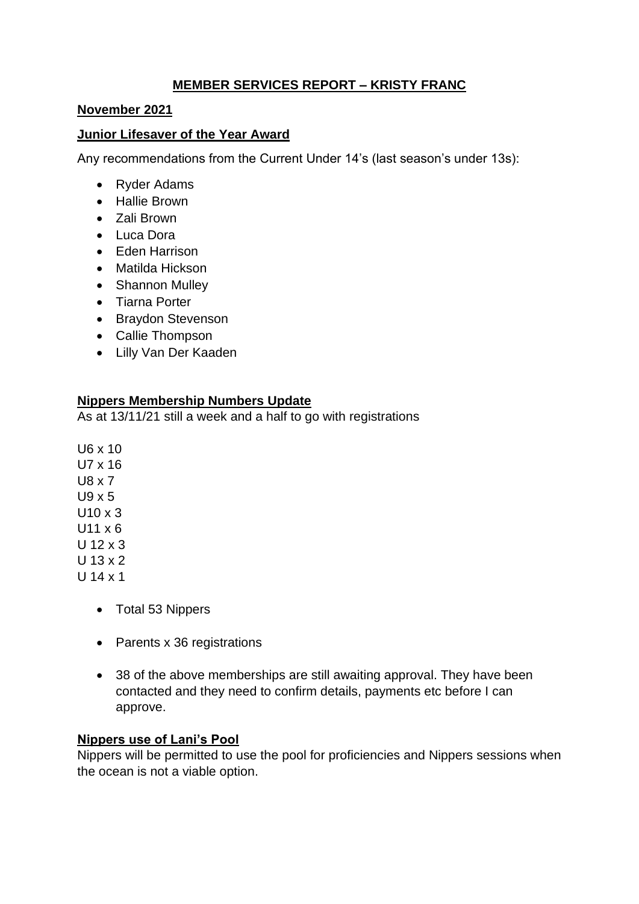## **MEMBER SERVICES REPORT – KRISTY FRANC**

#### **November 2021**

#### **Junior Lifesaver of the Year Award**

Any recommendations from the Current Under 14's (last season's under 13s):

- Ryder Adams
- Hallie Brown
- Zali Brown
- Luca Dora
- Eden Harrison
- Matilda Hickson
- Shannon Mulley
- Tiarna Porter
- Braydon Stevenson
- Callie Thompson
- Lilly Van Der Kaaden

#### **Nippers Membership Numbers Update**

As at 13/11/21 still a week and a half to go with registrations

U6 x 10 U7 x 16 U8 x 7 U9 x 5  $U10 \times 3$  $U11 \times 6$ U 12 x 3 U 13 x 2 U 14 x 1

- Total 53 Nippers
- Parents x 36 registrations
- 38 of the above memberships are still awaiting approval. They have been contacted and they need to confirm details, payments etc before I can approve.

#### **Nippers use of Lani's Pool**

Nippers will be permitted to use the pool for proficiencies and Nippers sessions when the ocean is not a viable option.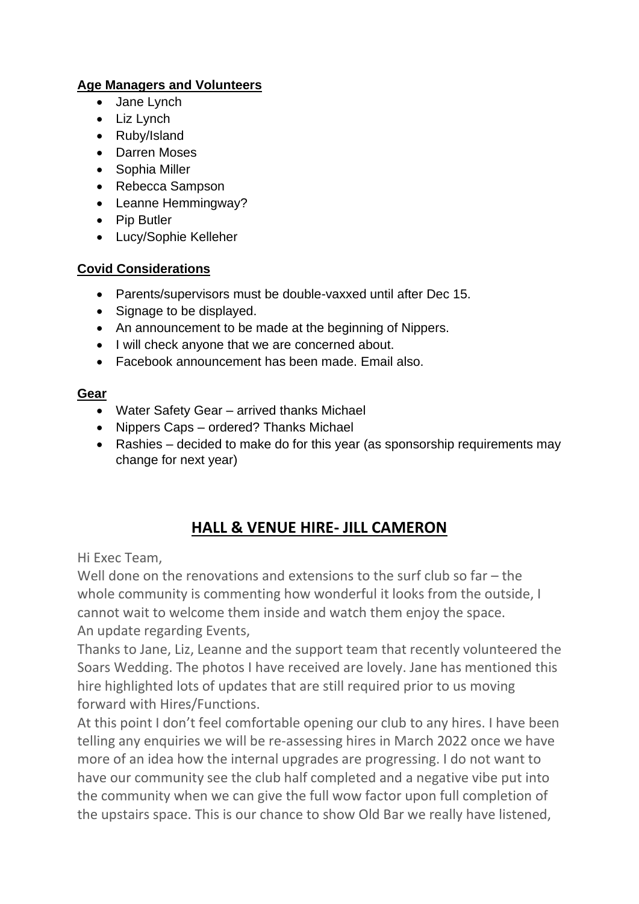# **Age Managers and Volunteers**

- Jane Lynch
- Liz Lynch
- Ruby/Island
- Darren Moses
- Sophia Miller
- Rebecca Sampson
- Leanne Hemmingway?
- Pip Butler
- Lucy/Sophie Kelleher

## **Covid Considerations**

- Parents/supervisors must be double-vaxxed until after Dec 15.
- Signage to be displayed.
- An announcement to be made at the beginning of Nippers.
- I will check anyone that we are concerned about.
- Facebook announcement has been made. Email also.

## **Gear**

- Water Safety Gear arrived thanks Michael
- Nippers Caps ordered? Thanks Michael
- Rashies decided to make do for this year (as sponsorship requirements may change for next year)

# **HALL & VENUE HIRE- JILL CAMERON**

Hi Exec Team,

Well done on the renovations and extensions to the surf club so far – the whole community is commenting how wonderful it looks from the outside, I cannot wait to welcome them inside and watch them enjoy the space. An update regarding Events,

Thanks to Jane, Liz, Leanne and the support team that recently volunteered the Soars Wedding. The photos I have received are lovely. Jane has mentioned this hire highlighted lots of updates that are still required prior to us moving forward with Hires/Functions.

At this point I don't feel comfortable opening our club to any hires. I have been telling any enquiries we will be re-assessing hires in March 2022 once we have more of an idea how the internal upgrades are progressing. I do not want to have our community see the club half completed and a negative vibe put into the community when we can give the full wow factor upon full completion of the upstairs space. This is our chance to show Old Bar we really have listened,